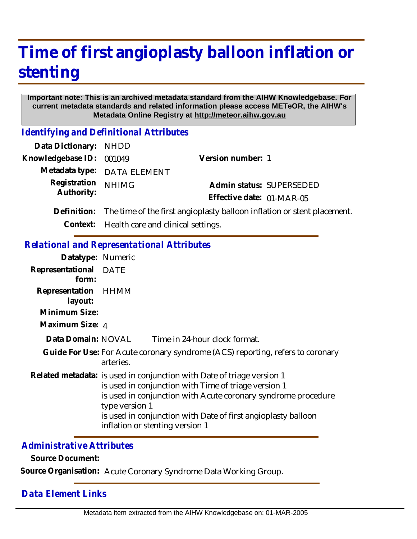# **Time of first angioplasty balloon inflation or stenting**

#### **Important note: This is an archived metadata standard from the AIHW Knowledgebase. For current metadata standards and related information please access METeOR, the AIHW's Metadata Online Registry at http://meteor.aihw.gov.au**

*Identifying and Definitional Attributes*

| Data Dictionary: NHDD      |                                                                                     |                           |                          |
|----------------------------|-------------------------------------------------------------------------------------|---------------------------|--------------------------|
| Knowledgebase ID: 001049   |                                                                                     | Version number: 1         |                          |
|                            | Metadata type: DATA ELEMENT                                                         |                           |                          |
| Registration<br>Authority: | <b>NHIMG</b>                                                                        |                           | Admin status: SUPERSEDED |
|                            |                                                                                     | Effective date: 01-MAR-05 |                          |
|                            | Definition: The time of the first angioplasty balloon inflation or stent placement. |                           |                          |
|                            |                                                                                     |                           |                          |

**Context:** Health care and clinical settings.

### *Relational and Representational Attributes*

| Datatype: Numeric              |                                                                                                                                                                                                                                                                                                                       |
|--------------------------------|-----------------------------------------------------------------------------------------------------------------------------------------------------------------------------------------------------------------------------------------------------------------------------------------------------------------------|
| Representational DATE<br>form: |                                                                                                                                                                                                                                                                                                                       |
| Representation HHMM<br>layout: |                                                                                                                                                                                                                                                                                                                       |
| Minimum Size:                  |                                                                                                                                                                                                                                                                                                                       |
| Maximum Size: 4                |                                                                                                                                                                                                                                                                                                                       |
| Data Domain: NOVAL             | Time in 24-hour clock format.                                                                                                                                                                                                                                                                                         |
|                                | Guide For Use: For Acute coronary syndrome (ACS) reporting, refers to coronary<br>arteries.                                                                                                                                                                                                                           |
|                                | Related metadata: is used in conjunction with Date of triage version 1<br>is used in conjunction with Time of triage version 1<br>is used in conjunction with Acute coronary syndrome procedure<br>type version 1<br>is used in conjunction with Date of first angioplasty balloon<br>inflation or stenting version 1 |

#### *Administrative Attributes*

**Source Document:**

**Source Organisation:** Acute Coronary Syndrome Data Working Group.

## *Data Element Links*